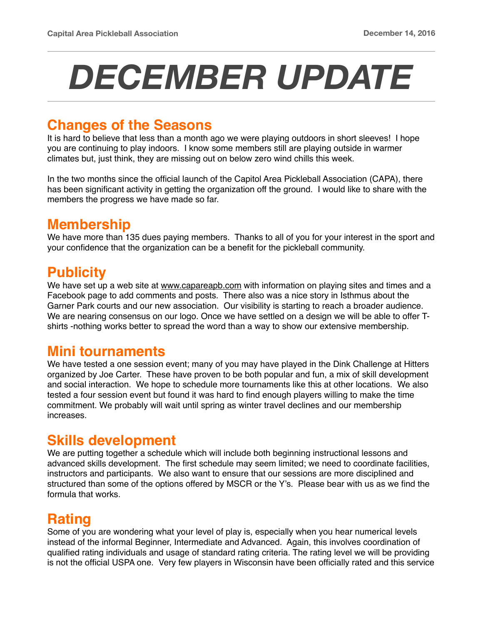# *DECEMBER UPDATE*

#### **Changes of the Seasons**

It is hard to believe that less than a month ago we were playing outdoors in short sleeves! I hope you are continuing to play indoors. I know some members still are playing outside in warmer climates but, just think, they are missing out on below zero wind chills this week.

In the two months since the official launch of the Capitol Area Pickleball Association (CAPA), there has been significant activity in getting the organization off the ground. I would like to share with the members the progress we have made so far.

### **Membership**

We have more than 135 dues paying members. Thanks to all of you for your interest in the sport and your confidence that the organization can be a benefit for the pickleball community.

### **Publicity**

We have set up a web site at [www.capareapb.com](http://www.capareapb.com) with information on playing sites and times and a Facebook page to add comments and posts. There also was a nice story in Isthmus about the Garner Park courts and our new association. Our visibility is starting to reach a broader audience. We are nearing consensus on our logo. Once we have settled on a design we will be able to offer Tshirts -nothing works better to spread the word than a way to show our extensive membership.

### **Mini tournaments**

We have tested a one session event; many of you may have played in the Dink Challenge at Hitters organized by Joe Carter. These have proven to be both popular and fun, a mix of skill development and social interaction. We hope to schedule more tournaments like this at other locations. We also tested a four session event but found it was hard to find enough players willing to make the time commitment. We probably will wait until spring as winter travel declines and our membership increases.

### **Skills development**

We are putting together a schedule which will include both beginning instructional lessons and advanced skills development. The first schedule may seem limited; we need to coordinate facilities, instructors and participants. We also want to ensure that our sessions are more disciplined and structured than some of the options offered by MSCR or the Y's. Please bear with us as we find the formula that works.

### **Rating**

Some of you are wondering what your level of play is, especially when you hear numerical levels instead of the informal Beginner, Intermediate and Advanced. Again, this involves coordination of qualified rating individuals and usage of standard rating criteria. The rating level we will be providing is not the official USPA one. Very few players in Wisconsin have been officially rated and this service